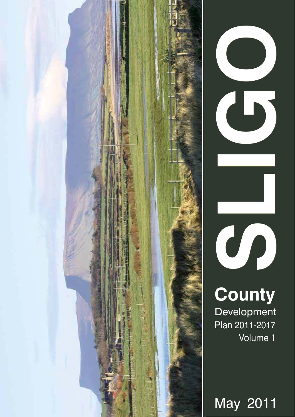



**County**  Development Volume 1

May 2011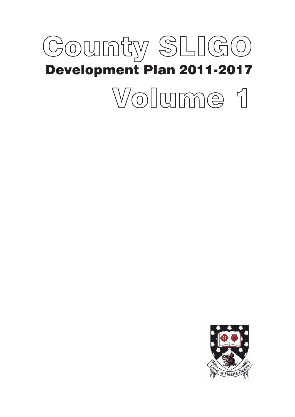# County SLIGO Development Plan 2011-2017 Volume 1

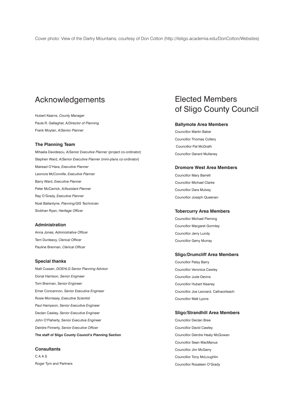### Acknowledgements

Hubert Kearns, *County Manager* Paula R. Gallagher, *A/Director of Planning* Frank Moylan, *A/Senior Planner*

### **The Planning Team**

Mihaela Davidescu, *A/Senior Executive Planner* (project co-ordinator) Stephen Ward, *A/Senior Executive Planner* (mini-plans co-ordinator) Mairead O'Hara, *Executive Planner* Leonora McConville, *Executive Planner* Barry Ward, *Executive Planner* Peter McCarrick, *A/Assistant Planner* Ray O'Grady, *Executive Planner* Noel Ballantyne, *Planning/GIS Technician* Siobhan Ryan, *Heritage Officer*

#### **Administration**

Anna Jones, *Administrative Officer* Terri Dunleavy, *Clerical Officer* Pauline Brennan, *Clerical Officer*

#### **Special thanks**

Niall Cussen, *DOEHLG Senior Planning Advisor* Donal Harrison, *Senior Engineer* Tom Brennan, *Senior Engineer* Emer Concannon, *Senior Executive Engineer* Rosie Morrissey, *Executive Scientist* Paul Hampson, *Senior Executive Engineer* Declan Cawley, *Senior Executive Engineer* John O'Flaherty, *Senior Executive Engineer* Deirdre Finnerty, *Senior Executive Officer* **The staff of Sligo County Council's Planning Section**

**Consultants** C A A S Roger Tym and Partners

### Elected Members of Sligo County Council

### **Ballymote Area Members**

Councillor Martin Baker Councillor Thomas Collery Councillor Pat McGrath Councillor Gerard Mullaney

#### **Dromore West Area Members**

Councillor Mary Barrett Councillor Michael Clarke Councillor Dara Mulvey Councillor Joseph Queenan

#### **Tobercurry Area Members**

Councillor Michael Fleming Councillor Margaret Gormley Councillor Jerry Lundy Councillor Gerry Murray

### **Sligo/Drumcliff Area Members**

Councillor Patsy Barry Councillor Veronica Cawley Councillor Jude Devins Councillor Hubert Keaney Councillor Joe Leonard, Cathaoirleach Councillor Matt Lyons

### **Sligo/Strandhill Area Members**

Councillor Declan Bree Councillor David Cawley Councillor Deirdre Healy McGowan Councillor Sean MacManus Councillor Jim McGarry Councillor Tony McLoughlin Councillor Rosaleen O'Grady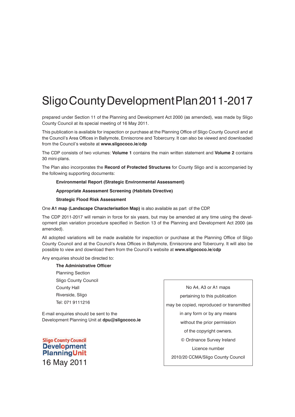# Sligo County Development Plan 2011-2017

prepared under Section 11 of the Planning and Development Act 2000 (as amended), was made by Sligo County Council at its special meeting of 16 May 2011.

This publication is available for inspection or purchase at the Planning Office of Sligo County Council and at the Council's Area Offices in Ballymote, Enniscrone and Tobercurry. It can also be viewed and downloaded from the Council's website at **www.sligococo.ie/cdp**

The CDP consists of two volumes: **Volume 1** contains the main written statement and **Volume 2** contains 30 mini-plans.

The Plan also incorporates the **Record of Protected Structures** for County Sligo and is accompanied by the following supporting documents:

### **Environmental Report (Strategic Environmental Assessment)**

**Appropriate Assessment Screening (Habitats Directive)**

### **Strategic Flood Risk Assessment**

One **A1 map (Landscape Characterisation Map)** is also available as part of the CDP.

The CDP 2011-2017 will remain in force for six years, but may be amended at any time using the development plan variation procedure specified in Section 13 of the Planning and Development Act 2000 (as amended).

All adopted variations will be made available for inspection or purchase at the Planning Office of Sligo County Council and at the Council's Area Offices in Ballymote, Enniscrone and Tobercurry. It will also be possible to view and download them from the Council's website at **www.sligococo.ie/cdp**

Any enquiries should be directed to:

**The Administrative Officer** Planning Section Sligo County Council County Hall Riverside, Sligo Tel: 071 9111216

E-mail enquiries should be sent to the Development Planning Unit at **dpu@sligococo.ie**

**Sligo County Council Development PlanningUnit** 16 May 2011

No A4, A3 or A1 maps pertaining to this publication may be copied, reproduced or transmitted in any form or by any means without the prior permission of the copyright owners. © Ordnance Survey Ireland Licence number 2010/20 CCMA/Sligo County Council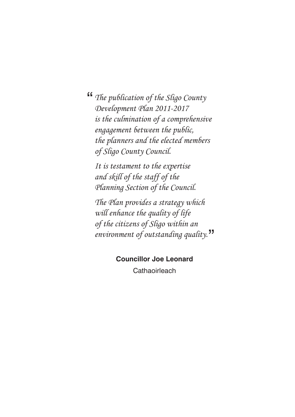<sup>"</sup>The publication of the Sligo County<br>Development Plan 2011-2017 Development Plan 2011-2017 is the culmination of a comprehensive engagement between the public, the planners and the elected members of Sligo County Council.

It is testament to the expertise and skill of the staff of the Planning Section of the Council.

The Plan provides a strategy which will enhance the quality of life of the citizens of Sligo within an environment of outstanding quality."

### **Councillor Joe Leonard**

**Cathaoirleach**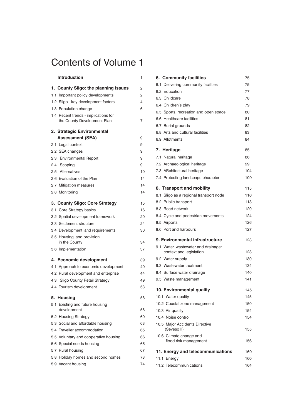# Contents of Volume 1

| <b>Introduction</b>                                                 | 1  |
|---------------------------------------------------------------------|----|
| 1. County Sligo: the planning issues                                | 2  |
| 1.1 Important policy developments                                   | 2  |
| 1.2 Sligo - key development factors                                 | 4  |
| 1.3 Population change                                               | 6  |
| 1.4 Recent trends - implications for<br>the County Development Plan | 7  |
| 2. Strategic Environmental                                          |    |
| <b>Assessment (SEA)</b>                                             | 9  |
| 2.1 Legal context                                                   | 9  |
| 2.2 SEA changes                                                     | 9  |
| 2.3 Environmental Report                                            | 9  |
| 2.4 Scoping                                                         | 9  |
| 2.5 Alternatives                                                    | 10 |
| 2.6 Evaluation of the Plan                                          | 14 |
| 2.7 Mitigation measures                                             | 14 |
| 2.8 Monitoring                                                      | 14 |
| 3. County Sligo: Core Strategy                                      | 15 |
| 3.1 Core Strategy basics                                            | 16 |
| 3.2 Spatial development framework                                   | 20 |
| 3.3 Settlement structure                                            | 24 |
| 3.4 Development land requirements                                   | 30 |
| 3.5 Housing land provision                                          |    |
| in the County                                                       | 34 |
| 3.6 Implementation                                                  | 37 |
| 4. Economic development                                             | 39 |
| 4.1 Approach to economic development                                | 40 |
| 4.2 Rural development and enterprise                                | 44 |
| 4.3 Sligo County Retail Strategy                                    | 49 |
| 4.4 Tourism development                                             | 53 |
| 5. Housing                                                          | 58 |
| 5.1 Existing and future housing<br>development                      | 58 |
| 5.2 Housing Strategy                                                | 60 |
| 5.3 Social and affordable housing                                   | 63 |
| 5.4 Traveller accommodation                                         | 65 |
| 5.5 Voluntary and cooperative housing                               | 66 |
| 5.6 Special needs housing                                           | 66 |
| 5.7 Rural housing                                                   | 67 |
| 5.8 Holiday homes and second homes                                  | 73 |
| 5.9 Vacant housing                                                  | 74 |
|                                                                     |    |

| 6. Community facilities                          | 75  |
|--------------------------------------------------|-----|
| 6.1 Delivering community facilities              | 75  |
| 6.2 Education                                    | 77  |
| 6.3 Childcare                                    | 78  |
| 6.4 Children's play                              | 79  |
| 6.5 Sports, recreation and open space            | 80  |
| 6.6 Healthcare facilities                        | 81  |
| 6.7 Burial grounds                               | 82  |
| 6.8 Arts and cultural facilities                 | 83  |
| 6.9 Allotments                                   | 84  |
| 7. Heritage                                      | 85  |
| 7.1 Natural heritage                             | 86  |
| 7.2 Archaeological heritage                      | 99  |
| 7.3 ARchitectural heritage                       | 104 |
| 7.4 Protecting landscape character               | 109 |
| 8. Transport and mobility                        | 115 |
| 8.1 Sligo as a regional transport node           | 116 |
| 8.2 Public transport                             | 118 |
| 8.3 Road network                                 | 120 |
| 8.4 Cycle and pedestrian movements               | 124 |
| 8.5 Airports                                     | 126 |
| 8.6 Port and harbours                            | 127 |
| 9. Environmental infrastructure                  | 128 |
| 9.1 Water, wastewater and drainage:              |     |
| context and legislation                          | 128 |
| 9.2 Water supply                                 | 130 |
| 9.3 Wastewater treatment                         | 134 |
| 9.4 Surface water drainage                       | 140 |
| 9.5 Waste management                             | 141 |
| 10. Environmental quality                        | 145 |
| 10.1 Water quality                               | 145 |
| 10.2 Coastal zone management                     | 150 |
| 10.3 Air quality                                 | 154 |
| 10.4 Noise control                               | 154 |
| 10.5 Major Accidents Directive<br>(Seveso II)    | 155 |
| 10.6 Climate change and<br>flood risk management | 156 |
| 11. Energy and telecommunications                | 160 |
| 11.1 Energy                                      | 160 |
| 11.2 Telecommunications                          | 164 |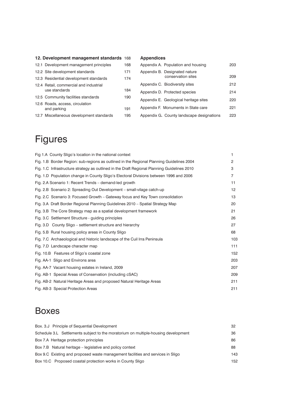### **12. Development management standards** 168

| 12.1 Development management principles                  | 168 |
|---------------------------------------------------------|-----|
| 12.2 Site development standards                         | 171 |
| 12.3 Residential development standards                  | 174 |
| 12.4 Retail, commercial and industrial<br>use standards | 184 |
| 12.5 Community facilities standards                     | 190 |
| 12.6 Roads, access, circulation<br>and parking          | 191 |
| 12.7 Miscellaneous development standards                | 195 |
|                                                         |     |

### **Appendices**

| Appendix A. Population and housing                  | 203 |
|-----------------------------------------------------|-----|
| Appendix B. Designated nature<br>conservation sites | 209 |
| Appendix C. Biodiversity sites                      | 212 |
| Appendix D. Protected species                       | 214 |
| Appendix E. Geological heritage sites               | 220 |
| Appendix F. Monuments in State care                 | 221 |
| Appendix G. County landscape designations           | 223 |
|                                                     |     |

# Figures

| Fig 1.A County Sligo's location in the national context                                     | 1              |
|---------------------------------------------------------------------------------------------|----------------|
| Fig. 1.B Border Region: sub-regions as outlined in the Regional Planning Guidelines 2004    | $\overline{2}$ |
| Fig. 1.C Infrastructure strategy as outlined in the Draft Regional Planning Guidelines 2010 | 3              |
| Fig. 1.D Population change in County Sligo's Electoral Divisions between 1996 and 2006      | 7              |
| Fig. 2.A Scenario 1: Recent Trends – demand-led growth                                      | 11             |
| Fig. 2.B Scenario 2: Spreading Out Development – small-vilage catch-up                      | 12             |
| Fig. 2.C Scenario 3: Focused Growth – Gateway focus and Key Town consolidation              | 13             |
| Fig. 3.A Draft Border Regional Planning Guidelines 2010 – Spatial Strategy Map              | 20             |
| Fig. 3.B The Core Strategy map as a spatial development framework                           | 21             |
| Fig. 3.C Settlement Structure - guiding principles                                          | 26             |
| Fig. 3.D County Sligo – settlement structure and hierarchy                                  | 27             |
| Fig. 5.B Rural housing policy areas in County Sligo                                         | 68             |
| Fig. 7.C Archaeological and historic landscape of the Cuil Irra Peninsula                   | 103            |
| Fig. 7.D Landscape character map                                                            | 111            |
| Fig. 10.B Features of Sligo's coastal zone                                                  | 152            |
| Fig. AA-1 Sligo and Environs area                                                           | 203            |
| Fig. AA-7 Vacant housing estates in Ireland, 2009                                           | 207            |
| Fig. AB-1 Special Areas of Conservation (including cSAC)                                    | 209            |
| Fig. AB-2 Natural Heritage Areas and proposed Natural Heritage Areas                        | 211            |
| Fig. AB-3 Special Protection Areas                                                          | 211            |

### Boxes

| Box. 3.J Principle of Sequential Development                                       | 32  |
|------------------------------------------------------------------------------------|-----|
| Schedule 3.L Settlements subject to the moratorium on multiple-housing development | 36  |
| Box 7.A Heritage protection principles                                             | 86  |
| Box 7.B Natural heritage – legislative and policy context                          | 88  |
| Box 9.C Existing and proposed waste management facilities and services in Sligo    | 143 |
| Box 10.C Proposed coastal protection works in County Sligo                         | 152 |